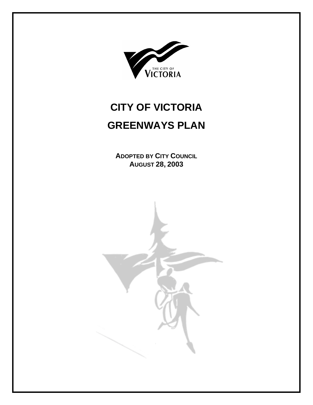

# **CITY OF VICTORIA GREENWAYS PLAN**

**ADOPTED BY CITY COUNCIL AUGUST 28, 2003** 

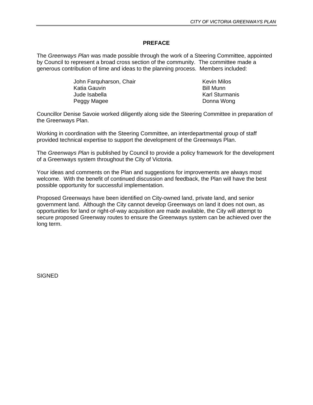#### **PREFACE**

The *Greenways Plan* was made possible through the work of a Steering Committee, appointed by Council to represent a broad cross section of the community. The committee made a generous contribution of time and ideas to the planning process. Members included:

> John Farquharson, Chair **Kevin Milos** Kevin Milos Katia Gauvin **Bill Munn** Jude Isabella **Karl Sturmanis** Karl Sturmanis Peggy Magee **Donna Wong**

Councillor Denise Savoie worked diligently along side the Steering Committee in preparation of the Greenways Plan.

Working in coordination with the Steering Committee, an interdepartmental group of staff provided technical expertise to support the development of the Greenways Plan.

The *Greenways Plan* is published by Council to provide a policy framework for the development of a Greenways system throughout the City of Victoria.

Your ideas and comments on the Plan and suggestions for improvements are always most welcome. With the benefit of continued discussion and feedback, the Plan will have the best possible opportunity for successful implementation.

Proposed Greenways have been identified on City-owned land, private land, and senior government land. Although the City cannot develop Greenways on land it does not own, as opportunities for land or right-of-way acquisition are made available, the City will attempt to secure proposed Greenway routes to ensure the Greenways system can be achieved over the long term.

**SIGNED**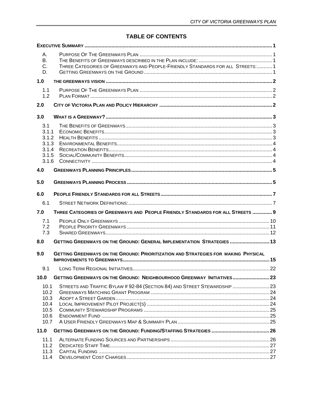# **TABLE OF CONTENTS**

| А.<br>В.<br>C.<br>D.                                      | THREE CATEGORIES OF GREENWAYS AND PEOPLE-FRIENDLY STANDARDS FOR ALL STREETS: 1     |  |
|-----------------------------------------------------------|------------------------------------------------------------------------------------|--|
| 1.0                                                       |                                                                                    |  |
| 1.1<br>1.2                                                |                                                                                    |  |
| 2.0                                                       |                                                                                    |  |
| 3.0                                                       |                                                                                    |  |
| 3.1<br>3.1.1<br>3.1.2<br>3.1.3<br>3.1.4<br>3.1.5<br>3.1.6 |                                                                                    |  |
| 4.0                                                       |                                                                                    |  |
| 5.0                                                       |                                                                                    |  |
| 6.0                                                       |                                                                                    |  |
| 6.1                                                       |                                                                                    |  |
| 7.0                                                       | THREE CATEGORIES OF GREENWAYS AND PEOPLE FRIENDLY STANDARDS FOR ALL STREETS  9     |  |
| 7.1<br>7.2<br>7.3                                         |                                                                                    |  |
| 8.0                                                       | GETTING GREENWAYS ON THE GROUND: GENERAL IMPLEMENTATION STRATEGIES  13             |  |
| 9.0                                                       | GETTING GREENWAYS ON THE GROUND: PRIORITIZATION AND STRATEGIES FOR MAKING PHYSICAL |  |
| 9.1                                                       |                                                                                    |  |
| 10.0                                                      | GETTING GREENWAYS ON THE GROUND: NEIGHBOURHOOD GREENWAY INITIATIVES 23             |  |
| 10.1<br>10.2<br>10.3<br>10.4<br>10.5<br>10.6<br>10.7      | STREETS AND TRAFFIC BYLAW # 92-84 (SECTION 84) AND STREET STEWARDSHIP 23           |  |
| 11.0                                                      |                                                                                    |  |
| 11.1<br>11.2<br>11.3<br>11.4                              |                                                                                    |  |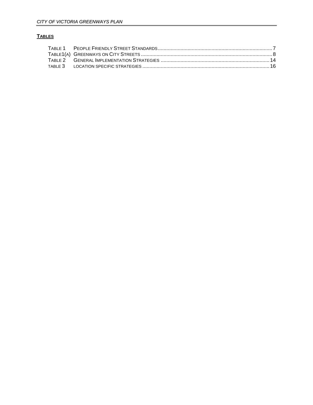# **TABLES**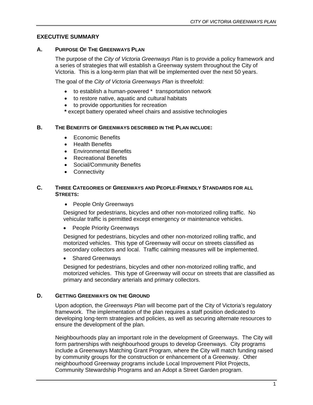# <span id="page-6-0"></span>**EXECUTIVE SUMMARY**

#### **A. PURPOSE OF THE GREENWAYS PLAN**

The purpose of the *City of Victoria Greenways Plan* is to provide a policy framework and a series of strategies that will establish a Greenway system throughout the City of Victoria. This is a long-term plan that will be implemented over the next 50 years.

The goal of the *City of Victoria Greenways Plan* is threefold:

- to establish a human-powered \* transportation network
- to restore native, aquatic and cultural habitats
- to provide opportunities for recreation
- **\*** except battery operated wheel chairs and assistive technologies

#### **B. THE BENEFITS OF GREENWAYS DESCRIBED IN THE PLAN INCLUDE:**

- Economic Benefits
- Health Benefits
- Environmental Benefits
- Recreational Benefits
- Social/Community Benefits
- Connectivity

#### **C. THREE CATEGORIES OF GREENWAYS AND PEOPLE-FRIENDLY STANDARDS FOR ALL STREETS:**

• People Only Greenways

Designed for pedestrians, bicycles and other non-motorized rolling traffic. No vehicular traffic is permitted except emergency or maintenance vehicles.

• People Priority Greenways

Designed for pedestrians, bicycles and other non-motorized rolling traffic, and motorized vehicles. This type of Greenway will occur on streets classified as secondary collectors and local. Traffic calming measures will be implemented.

• Shared Greenways

Designed for pedestrians, bicycles and other non-motorized rolling traffic, and motorized vehicles. This type of Greenway will occur on streets that are classified as primary and secondary arterials and primary collectors.

#### **D. GETTING GREENWAYS ON THE GROUND**

Upon adoption, the *Greenways Plan* will become part of the City of Victoria's regulatory framework. The implementation of the plan requires a staff position dedicated to developing long-term strategies and policies, as well as securing alternate resources to ensure the development of the plan.

Neighbourhoods play an important role in the development of Greenways. The City will form partnerships with neighbourhood groups to develop Greenways. City programs include a Greenways Matching Grant Program, where the City will match funding raised by community groups for the construction or enhancement of a Greenway. Other neighbourhood Greenway programs include Local Improvement Pilot Projects, Community Stewardship Programs and an Adopt a Street Garden program.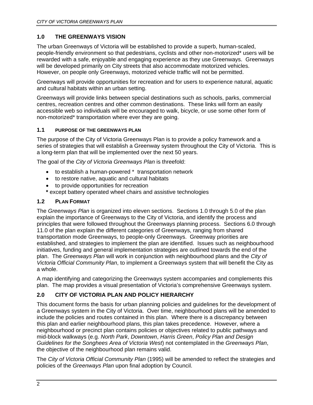# <span id="page-7-0"></span>**1.0 THE GREENWAYS VISION**

The urban Greenways of Victoria will be established to provide a superb, human-scaled, people-friendly environment so that pedestrians, cyclists and other non-motorized\* users will be rewarded with a safe, enjoyable and engaging experience as they use Greenways. Greenways will be developed primarily on City streets that also accommodate motorized vehicles. However, on people only Greenways, motorized vehicle traffic will not be permitted.

Greenways will provide opportunities for recreation and for users to experience natural, aquatic and cultural habitats within an urban setting.

Greenways will provide links between special destinations such as schools, parks, commercial centres, recreation centres and other common destinations. These links will form an easily accessible web so individuals will be encouraged to walk, bicycle, or use some other form of non-motorized\* transportation where ever they are going.

# **1.1 PURPOSE OF THE GREENWAYS PLAN**

The purpose of the City of Victoria Greenways Plan is to provide a policy framework and a series of strategies that will establish a Greenway system throughout the City of Victoria. This is a long-term plan that will be implemented over the next 50 years.

The goal of the *City of Victoria Greenways Plan* is threefold:

- to establish a human-powered \* transportation network
- to restore native, aquatic and cultural habitats
- to provide opportunities for recreation
- **\*** except battery operated wheel chairs and assistive technologies

# **1.2 PLAN FORMAT**

The *Greenways Plan* is organized into eleven sections. Sections 1.0 through 5.0 of the plan explain the importance of Greenways to the City of Victoria, and identify the process and principles that were followed throughout the Greenways planning process. Sections 6.0 through 11.0 of the plan explain the different categories of Greenways, ranging from shared transportation mode Greenways, to people-only Greenways. Greenway priorities are established, and strategies to implement the plan are identified. Issues such as neighbourhood initiatives, funding and general implementation strategies are outlined towards the end of the plan. The *Greenways Plan* will work in conjunction with neighbourhood plans and the *City of Victoria Official Community Plan*, to implement a Greenways system that will benefit the City as a whole.

A map identifying and categorizing the Greenways system accompanies and complements this plan. The map provides a visual presentation of Victoria's comprehensive Greenways system.

# **2.0 CITY OF VICTORIA PLAN AND POLICY HIERARCHY**

This document forms the basis for urban planning policies and guidelines for the development of a Greenways system in the City of Victoria. Over time, neighbourhood plans will be amended to include the policies and routes contained in this plan. Where there is a discrepancy between this plan and earlier neighbourhood plans, this plan takes precedence. However, where a neighbourhood or precinct plan contains policies or objectives related to public pathways and mid-block walkways (e.g. *North Park*, *Downtown*, *Harris Green*, *Policy Plan and Design Guidelines for the Songhees Area of Victoria West*) not contemplated in the *Greenways Plan*, the objective of the neighbourhood plan remains valid.

The *City of Victoria Official Community Plan* (1995) will be amended to reflect the strategies and policies of the *Greenways Plan* upon final adoption by Council.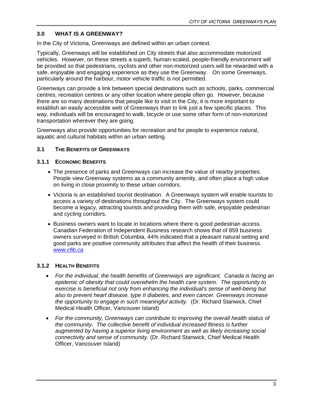# <span id="page-8-0"></span>**3.0 WHAT IS A GREENWAY?**

In the City of Victoria, Greenways are defined within an urban context.

Typically, Greenways will be established on City streets that also accommodate motorized vehicles. However, on these streets a superb, human-scaled, people-friendly environment will be provided so that pedestrians, cyclists and other non-motorized users will be rewarded with a safe, enjoyable and engaging experience as they use the Greenway. On some Greenways, particularly around the harbour, motor vehicle traffic is not permitted.

Greenways can provide a link between special destinations such as schools, parks, commercial centres, recreation centres or any other location where people often go. However, because there are so many destinations that people like to visit in the City, it is more important to establish an easily accessible web of Greenways than to link just a few specific places. This way, individuals will be encouraged to walk, bicycle or use some other form of non-motorized transportation wherever they are going.

Greenways also provide opportunities for recreation and for people to experience natural, aquatic and cultural habitats within an urban setting.

# **3.1 THE BENEFITS OF GREENWAYS**

#### **3.1.1 ECONOMIC BENEFITS**

- The presence of parks and Greenways can increase the value of nearby properties. People view Greenway systems as a community amenity, and often place a high value on living in close proximity to these urban corridors.
- Victoria is an established tourist destination. A Greenways system will enable tourists to access a variety of destinations throughout the City. The Greenways system could become a legacy, attracting tourists and providing them with safe, enjoyable pedestrian and cycling corridors.
- Business owners want to locate in locations where there is good pedestrian access. Canadian Federation of Independent Business research shows that of 859 business owners surveyed in British Columbia, 44% indicated that a pleasant natural setting and good parks are positive community attributes that affect the health of their business. *[www.cfib.ca](http://www.cfib.ca/)*

#### **3.1.2 HEALTH BENEFITS**

- *For the individual, the health benefits of Greenways are significant. Canada is facing an epidemic of obesity that could overwhelm the health care system. The opportunity to exercise is beneficial not only from enhancing the individual's sense of well-being but also to prevent heart disease, type II diabetes, and even cancer. Greenways increase the opportunity to engage in such meaningful activity.* (Dr. Richard Stanwick, Chief Medical Health Officer, Vancouver Island)
- *For the community, Greenways can contribute to improving the overall health status of the community. The collective benefit of individual increased fitness is further augmented by having a superior living environment as well as likely increasing social connectivity and sense of community.* (Dr. Richard Stanwick, Chief Medical Health Officer, Vancouver Island)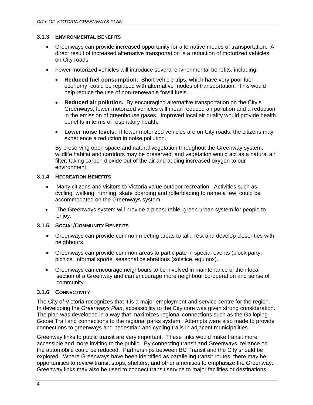#### <span id="page-9-0"></span>**3.1.3 ENVIRONMENTAL BENEFITS**

- Greenways can provide increased opportunity for alternative modes of transportation. A direct result of increased alternative transportation is a reduction of motorized vehicles on City roads.
- Fewer motorized vehicles will introduce several environmental benefits, including:
	- **Reduced fuel consumption.** Short vehicle trips, which have very poor fuel economy, could be replaced with alternative modes of transportation. This would help reduce the use of non-renewable fossil fuels.
	- **Reduced air pollution.** By encouraging alternative transportation on the City's Greenways, fewer motorized vehicles will mean reduced air pollution and a reduction in the emission of greenhouse gases. Improved local air quality would provide health benefits in terms of respiratory health.
	- **Lower noise levels.** If fewer motorized vehicles are on City roads, the citizens may experience a reduction in noise pollution.

By preserving open space and natural vegetation throughout the Greenway system, wildlife habitat and corridors may be preserved, and vegetation would act as a natural air filter, taking carbon dioxide out of the air and adding increased oxygen to our environment.

# **3.1.4 RECREATION BENEFITS**

- Many citizens and visitors to Victoria value outdoor recreation. Activities such as cycling, walking, running, skate boarding and rollerblading to name a few, could be accommodated on the Greenways system.
- The Greenways system will provide a pleasurable, green urban system for people to enjoy.

# **3.1.5 SOCIAL/COMMUNITY BENEFITS**

- Greenways can provide common meeting areas to talk, rest and develop closer ties with neighbours.
- Greenways can provide common areas to participate in special events (block party, picnics, informal sports, seasonal celebrations (solstice, equinox).
- Greenways can encourage neighbours to be involved in maintenance of their local section of a Greenway and can encourage more neighbour co-operation and sense of community.

#### **3.1.6 CONNECTIVITY**

The City of Victoria recognizes that it is a major employment and service centre for the region. In developing the *Greenways Plan*, accessibility to the City core was given strong consideration. The plan was developed in a way that maximizes regional connections such as the Galloping Goose Trail and connections to the regional parks system. Attempts were also made to provide connections to greenways and pedestrian and cycling trails in adjacent municipalities.

Greenway links to public transit are very important. These links would make transit more accessible and more inviting to the public. By connecting transit and Greenways, reliance on the automobile could be reduced. Partnerships between BC Transit and the City should be explored. Where Greenways have been identified as paralleling transit routes, there may be opportunities to review transit stops, shelters, and other amenities to emphasize the Greenway. Greenway links may also be used to connect transit service to major facilities or destinations.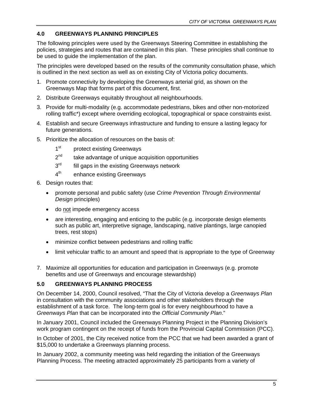# <span id="page-10-0"></span>**4.0 GREENWAYS PLANNING PRINCIPLES**

The following principles were used by the Greenways Steering Committee in establishing the policies, strategies and routes that are contained in this plan. These principles shall continue to be used to guide the implementation of the plan.

The principles were developed based on the results of the community consultation phase, which is outlined in the next section as well as on existing City of Victoria policy documents.

- 1. Promote connectivity by developing the Greenways arterial grid, as shown on the Greenways Map that forms part of this document, first.
- 2. Distribute Greenways equitably throughout all neighbourhoods.
- 3. Provide for multi-modality (e.g. accommodate pedestrians, bikes and other non-motorized rolling traffic\*) except where overriding ecological, topographical or space constraints exist.
- 4. Establish and secure Greenways infrastructure and funding to ensure a lasting legacy for future generations.
- 5. Prioritize the allocation of resources on the basis of:
	- 1<sup>st</sup> protect existing Greenways
	- $2<sup>nd</sup>$  take advantage of unique acquisition opportunities
	- $3<sup>rd</sup>$  fill gaps in the existing Greenways network
	- 4<sup>th</sup> enhance existing Greenways
- 6. Design routes that:
	- promote personal and public safety (use *Crime Prevention Through Environmental Design* principles)
	- do not impede emergency access
	- are interesting, engaging and enticing to the public (e.g. incorporate design elements such as public art, interpretive signage, landscaping, native plantings, large canopied trees, rest stops)
	- minimize conflict between pedestrians and rolling traffic
	- limit vehicular traffic to an amount and speed that is appropriate to the type of Greenway
- 7. Maximize all opportunities for education and participation in Greenways (e.g. promote benefits and use of Greenways and encourage stewardship)

# **5.0 GREENWAYS PLANNING PROCESS**

On December 14, 2000, Council resolved, "That the City of Victoria develop a *Greenways Plan*  in consultation with the community associations and other stakeholders through the establishment of a task force. The long-term goal is for every neighbourhood to have a *Greenways Plan* that can be incorporated into the *Official Community Plan*."

In January 2001, Council included the Greenways Planning Project in the Planning Division's work program contingent on the receipt of funds from the Provincial Capital Commission (PCC).

In October of 2001, the City received notice from the PCC that we had been awarded a grant of \$15,000 to undertake a Greenways planning process.

In January 2002, a community meeting was held regarding the initiation of the Greenways Planning Process. The meeting attracted approximately 25 participants from a variety of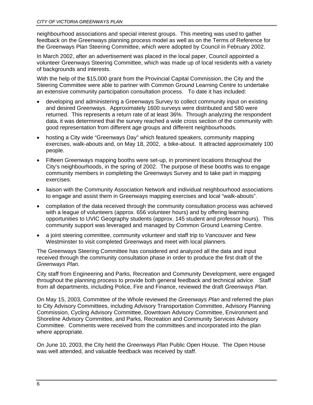neighbourhood associations and special interest groups. This meeting was used to gather feedback on the Greenways planning process model as well as on the Terms of Reference for the Greenways Plan Steering Committee, which were adopted by Council in February 2002.

In March 2002, after an advertisement was placed in the local paper, Council appointed a volunteer Greenways Steering Committee, which was made up of local residents with a variety of backgrounds and interests.

With the help of the \$15,000 grant from the Provincial Capital Commission, the City and the Steering Committee were able to partner with Common Ground Learning Centre to undertake an extensive community participation consultation process. To date it has included:

- developing and administering a Greenways Survey to collect community input on existing and desired Greenways. Approximately 1600 surveys were distributed and 580 were returned. This represents a return rate of at least 36%. Through analyzing the respondent data, it was determined that the survey reached a wide cross section of the community with good representation from different age groups and different neighbourhoods.
- hosting a City wide "Greenways Day" which featured speakers, community mapping exercises, walk-abouts and, on May 18, 2002, a bike-about. It attracted approximately 100 people.
- Fifteen Greenways mapping booths were set-up, in prominent locations throughout the City's neighbourhoods, in the spring of 2002. The purpose of these booths was to engage community members in completing the Greenways Survey and to take part in mapping exercises.
- liaison with the Community Association Network and individual neighbourhood associations to engage and assist them in Greenways mapping exercises and local "walk-abouts".
- compilation of the data received through the community consultation process was achieved with a league of volunteers (approx. 656 volunteer hours) and by offering learning opportunities to UVIC Geography students (approx. 145 student and professor hours). This community support was leveraged and managed by Common Ground Learning Centre.
- a joint steering committee, community volunteer and staff trip to Vancouver and New Westminster to visit completed Greenways and meet with local planners.

The Greenways Steering Committee has considered and analyzed all the data and input received through the community consultation phase in order to produce the first draft of the *Greenways Plan*.

City staff from Engineering and Parks, Recreation and Community Development, were engaged throughout the planning process to provide both general feedback and technical advice. Staff from all departments, including Police, Fire and Finance, reviewed the draft *Greenways Plan*.

On May 15, 2003, Committee of the Whole reviewed the *Greenways Plan* and referred the plan to City Advisory Committees, including Advisory Transportation Committee, Advisory Planning Commission, Cycling Advisory Committee, Downtown Advisory Committee, Environment and Shoreline Advisory Committee, and Parks, Recreation and Community Services Advisory Committee. Comments were received from the committees and incorporated into the plan where appropriate.

On June 10, 2003, the City held the *Greenways Plan* Public Open House. The Open House was well attended, and valuable feedback was received by staff.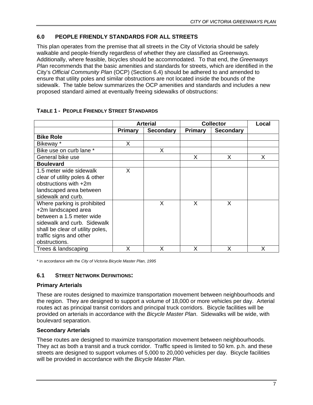# <span id="page-12-0"></span>**6.0 PEOPLE FRIENDLY STANDARDS FOR ALL STREETS**

This plan operates from the premise that all streets in the City of Victoria should be safely walkable and people-friendly regardless of whether they are classified as Greenways. Additionally, where feasible, bicycles should be accommodated. To that end, the *Greenways Plan* recommends that the basic amenities and standards for streets, which are identified in the City's *Official Community Plan* (OCP) (Section 6.4) should be adhered to and amended to ensure that utility poles and similar obstructions are not located inside the bounds of the sidewalk. The table below summarizes the OCP amenities and standards and includes a new proposed standard aimed at eventually freeing sidewalks of obstructions:

|                                                                                                                                                                                               | <b>Arterial</b> |                  | <b>Collector</b> | Local            |   |
|-----------------------------------------------------------------------------------------------------------------------------------------------------------------------------------------------|-----------------|------------------|------------------|------------------|---|
|                                                                                                                                                                                               | <b>Primary</b>  | <b>Secondary</b> | <b>Primary</b>   | <b>Secondary</b> |   |
| <b>Bike Role</b>                                                                                                                                                                              |                 |                  |                  |                  |   |
| Bikeway *                                                                                                                                                                                     | X               |                  |                  |                  |   |
| Bike use on curb lane *                                                                                                                                                                       |                 | X                |                  |                  |   |
| General bike use                                                                                                                                                                              |                 |                  | X                | X                | X |
| <b>Boulevard</b>                                                                                                                                                                              |                 |                  |                  |                  |   |
| 1.5 meter wide sidewalk<br>clear of utility poles & other<br>obstructions with +2m<br>landscaped area between<br>sidewalk and curb.                                                           | X               |                  |                  |                  |   |
| Where parking is prohibited<br>+2m landscaped area<br>between a 1.5 meter wide<br>sidewalk and curb. Sidewalk<br>shall be clear of utility poles,<br>traffic signs and other<br>obstructions. |                 | X                | X                | X                |   |
| Trees & landscaping                                                                                                                                                                           | X               | X                | X                | X                | Х |

# **TABLE 1 - PEOPLE FRIENDLY STREET STANDARDS**

\* in accordance with the *City of Victoria Bicycle Master Plan, 1995*

#### **6.1 STREET NETWORK DEFINITIONS:**

#### **Primary Arterials**

These are routes designed to maximize transportation movement between neighbourhoods and the region. They are designed to support a volume of 18,000 or more vehicles per day. Arterial routes act as principal transit corridors and principal truck corridors. Bicycle facilities will be provided on arterials in accordance with the *Bicycle Master Plan*. Sidewalks will be wide, with boulevard separation.

#### **Secondary Arterials**

These routes are designed to maximize transportation movement between neighbourhoods. They act as both a transit and a truck corridor. Traffic speed is limited to 50 km. p.h. and these streets are designed to support volumes of 5,000 to 20,000 vehicles per day. Bicycle facilities will be provided in accordance with the *Bicycle Master Plan*.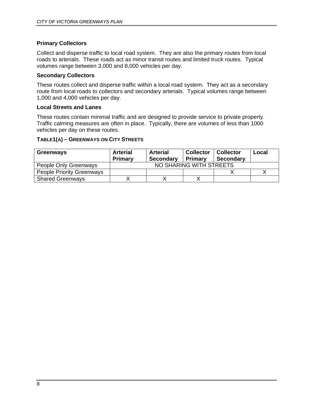# <span id="page-13-0"></span>**Primary Collectors**

Collect and disperse traffic to local road system. They are also the primary routes from local roads to arterials. These roads act as minor transit routes and limited truck routes. Typical volumes range between 3,000 and 8,000 vehicles per day.

#### **Secondary Collectors**

These routes collect and disperse traffic within a local road system. They act as a secondary route from local roads to collectors and secondary arterials. Typical volumes range between 1,000 and 4,000 vehicles per day.

#### **Local Streets and Lanes**

These routes contain minimal traffic and are designed to provide service to private property. Traffic calming measures are often in place. Typically, there are volumes of less than 1000 vehicles per day on these routes.

#### **TABLE1(A) – GREENWAYS ON CITY STREETS**

| Greenways                        | <b>Arterial</b><br>Primary | <b>Arterial</b><br><b>Secondary</b> | <b>Collector</b><br><b>Primary</b> | <b>Collector</b><br><b>Secondary</b> | Local |
|----------------------------------|----------------------------|-------------------------------------|------------------------------------|--------------------------------------|-------|
| People Only Greenways            | NO SHARING WITH STREETS    |                                     |                                    |                                      |       |
| <b>People Priority Greenways</b> |                            |                                     |                                    |                                      |       |
| <b>Shared Greenways</b>          |                            |                                     |                                    |                                      |       |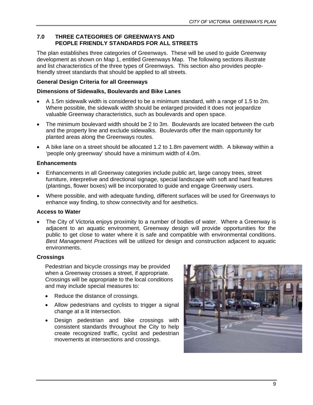# <span id="page-14-0"></span>**7.0 THREE CATEGORIES OF GREENWAYS AND PEOPLE FRIENDLY STANDARDS FOR ALL STREETS**

The plan establishes three categories of Greenways. These will be used to guide Greenway development as shown on Map 1, entitled Greenways Map. The following sections illustrate and list characteristics of the three types of Greenways. This section also provides peoplefriendly street standards that should be applied to all streets.

### **General Design Criteria for all Greenways**

#### **Dimensions of Sidewalks, Boulevards and Bike Lanes**

- A 1.5m sidewalk width is considered to be a minimum standard, with a range of 1.5 to 2m. Where possible, the sidewalk width should be enlarged provided it does not jeopardize valuable Greenway characteristics, such as boulevards and open space.
- The minimum boulevard width should be 2 to 3m. Boulevards are located between the curb and the property line and exclude sidewalks. Boulevards offer the main opportunity for planted areas along the Greenways routes.
- A bike lane on a street should be allocated 1.2 to 1.8m pavement width. A bikeway within a 'people only greenway' should have a minimum width of 4.0m.

#### **Enhancements**

- Enhancements in all Greenway categories include public art, large canopy trees, street furniture, interpretive and directional signage, special landscape with soft and hard features (plantings, flower boxes) will be incorporated to guide and engage Greenway users.
- Where possible, and with adequate funding, different surfaces will be used for Greenways to enhance way finding, to show connectivity and for aesthetics.

#### **Access to Water**

• The City of Victoria enjoys proximity to a number of bodies of water. Where a Greenway is adjacent to an aquatic environment, Greenway design will provide opportunities for the public to get close to water where it is safe and compatible with environmental conditions. *Best Management Practices* will be utilized for design and construction adjacent to aquatic environments.

#### **Crossings**

Pedestrian and bicycle crossings may be provided when a Greenway crosses a street, if appropriate. Crossings will be appropriate to the local conditions and may include special measures to:

- Reduce the distance of crossings.
- Allow pedestrians and cyclists to trigger a signal change at a lit intersection.
- Design pedestrian and bike crossings with consistent standards throughout the City to help create recognized traffic, cyclist and pedestrian movements at intersections and crossings.

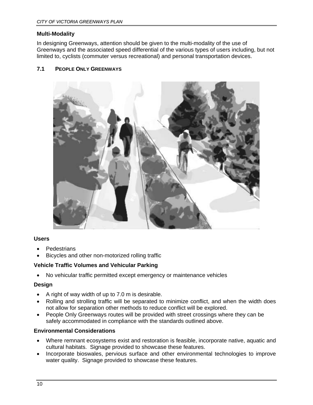### <span id="page-15-0"></span>**Multi-Modality**

In designing Greenways, attention should be given to the multi-modality of the use of Greenways and the associated speed differential of the various types of users including, but not limited to, cyclists (commuter versus recreational) and personal transportation devices.

# **7.1 PEOPLE ONLY GREENWAYS**



#### **Users**

- **Pedestrians**
- Bicycles and other non-motorized rolling traffic

#### **Vehicle Traffic Volumes and Vehicular Parking**

• No vehicular traffic permitted except emergency or maintenance vehicles

#### **Design**

- A right of way width of up to 7.0 m is desirable.
- Rolling and strolling traffic will be separated to minimize conflict, and when the width does not allow for separation other methods to reduce conflict will be explored.
- People Only Greenways routes will be provided with street crossings where they can be safely accommodated in compliance with the standards outlined above.

#### **Environmental Considerations**

- Where remnant ecosystems exist and restoration is feasible, incorporate native, aquatic and cultural habitats. Signage provided to showcase these features.
- Incorporate bioswales, pervious surface and other environmental technologies to improve water quality. Signage provided to showcase these features.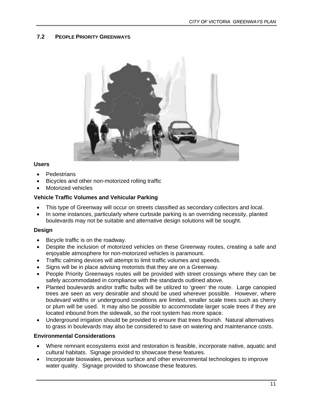#### <span id="page-16-0"></span>**7.2 PEOPLE PRIORITY GREENWAYS**



#### **Users**

- **Pedestrians**
- Bicycles and other non-motorized rolling traffic
- Motorized vehicles

#### **Vehicle Traffic Volumes and Vehicular Parking**

- This type of Greenway will occur on streets classified as secondary collectors and local.
- In some instances, particularly where curbside parking is an overriding necessity, planted boulevards may not be suitable and alternative design solutions will be sought.

#### **Design**

- Bicycle traffic is on the roadway.
- Despite the inclusion of motorized vehicles on these Greenway routes, creating a safe and enjoyable atmosphere for non-motorized vehicles is paramount.
- Traffic calming devices will attempt to limit traffic volumes and speeds.
- Signs will be in place advising motorists that they are on a Greenway.
- People Priority Greenways routes will be provided with street crossings where they can be safely accommodated in compliance with the standards outlined above.
- Planted boulevards and/or traffic bulbs will be utilized to 'green' the route. Large canopied trees are seen as very desirable and should be used wherever possible. However, where boulevard widths or underground conditions are limited, smaller scale trees such as cherry or plum will be used. It may also be possible to accommodate larger scale trees if they are located inbound from the sidewalk, so the root system has more space.
- Underground irrigation should be provided to ensure that trees flourish. Natural alternatives to grass in boulevards may also be considered to save on watering and maintenance costs.

#### **Environmental Considerations**

- Where remnant ecosystems exist and restoration is feasible, incorporate native, aquatic and cultural habitats. Signage provided to showcase these features.
- Incorporate bioswales, pervious surface and other environmental technologies to improve water quality. Signage provided to showcase these features.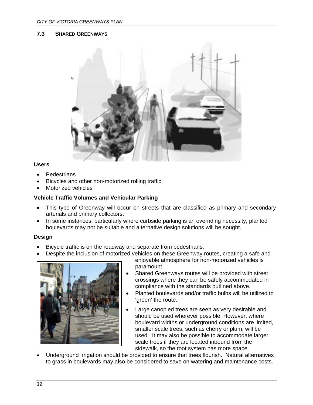#### <span id="page-17-0"></span>**7.3 SHARED GREENWAYS**



#### **Users**

- **Pedestrians**
- Bicycles and other non-motorized rolling traffic
- Motorized vehicles

#### **Vehicle Traffic Volumes and Vehicular Parking**

- This type of Greenway will occur on streets that are classified as primary and secondary arterials and primary collectors.
- In some instances, particularly where curbside parking is an overriding necessity, planted boulevards may not be suitable and alternative design solutions will be sought.

#### **Design**

- Bicycle traffic is on the roadway and separate from pedestrians.
- Despite the inclusion of motorized vehicles on these Greenway routes, creating a safe and



enjoyable atmosphere for non-motorized vehicles is paramount.

- Shared Greenways routes will be provided with street crossings where they can be safely accommodated in compliance with the standards outlined above.
- Planted boulevards and/or traffic bulbs will be utilized to 'green' the route.
- Large canopied trees are seen as very desirable and should be used wherever possible. However, where boulevard widths or underground conditions are limited, smaller scale trees, such as cherry or plum, will be used. It may also be possible to accommodate larger scale trees if they are located inbound from the sidewalk, so the root system has more space.
- Underground irrigation should be provided to ensure that trees flourish. Natural alternatives to grass in boulevards may also be considered to save on watering and maintenance costs.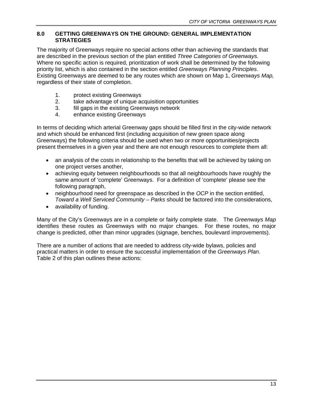#### <span id="page-18-0"></span>**8.0 GETTING GREENWAYS ON THE GROUND: GENERAL IMPLEMENTATION STRATEGIES**

The majority of Greenways require no special actions other than achieving the standards that are described in the previous section of the plan entitled *Three Categories of Greenways.* Where no specific action is required, prioritization of work shall be determined by the following priority list, which is also contained in the section entitled *Greenways Planning Principles*. Existing Greenways are deemed to be any routes which are shown on Map 1, *Greenways Map,*  regardless of their state of completion.

- 1. protect existing Greenways
- 2. take advantage of unique acquisition opportunities
- 3. fill gaps in the existing Greenways network
- 4. enhance existing Greenways

In terms of deciding which arterial Greenway gaps should be filled first in the city-wide network and which should be enhanced first (including acquisition of new green space along Greenways) the following criteria should be used when two or more opportunities/projects present themselves in a given year and there are not enough resources to complete them all:

- an analysis of the costs in relationship to the benefits that will be achieved by taking on one project verses another,
- achieving equity between neighbourhoods so that all neighbourhoods have roughly the same amount of 'complete' Greenways. For a definition of 'complete' please see the following paragraph,
- neighbourhood need for greenspace as described in the *OCP* in the section entitled, *Toward a Well Serviced Community – Parks* should be factored into the considerations,
- availability of funding.

Many of the City's Greenways are in a complete or fairly complete state. The *Greenways Map* identifies these routes as Greenways with no major changes. For these routes, no major change is predicted, other than minor upgrades (signage, benches, boulevard improvements).

There are a number of actions that are needed to address city-wide bylaws, policies and practical matters in order to ensure the successful implementation of the *Greenways Plan*. Table 2 of this plan outlines these actions: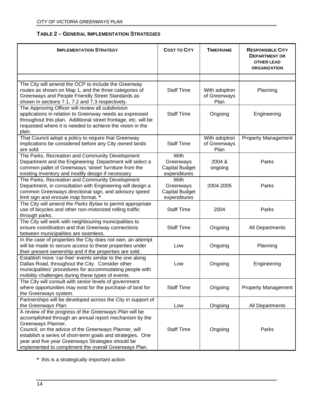# **TABLE 2 – GENERAL IMPLEMENTATION STRATEGIES**

<span id="page-19-0"></span>

| <b>IMPLEMENTATION STRATEGY</b>                                                                                                                                                                                                                                                                                                                                              | <b>COST TO CITY</b>                                        | <b>TIMEFRAME</b>                      | <b>RESPONSIBLE CITY</b><br><b>DEPARTMENT OR</b><br><b>OTHER LEAD</b><br><b>ORGANIZATION</b> |
|-----------------------------------------------------------------------------------------------------------------------------------------------------------------------------------------------------------------------------------------------------------------------------------------------------------------------------------------------------------------------------|------------------------------------------------------------|---------------------------------------|---------------------------------------------------------------------------------------------|
|                                                                                                                                                                                                                                                                                                                                                                             |                                                            |                                       |                                                                                             |
| The City will amend the OCP to include the Greenway<br>routes as shown on Map 1, and the three categories of<br>Greenways and People Friendly Street Standards as<br>shown in sections 7.1, 7.2 and 7.3 respectively.                                                                                                                                                       | <b>Staff Time</b>                                          | With adoption<br>of Greenways<br>Plan | Planning                                                                                    |
| The Approving Officer will review all subdivision<br>applications in relation to Greenway needs as expressed<br>throughout this plan. Additional street frontage, etc. will be<br>requested where it is needed to achieve the vision in the<br>plan.                                                                                                                        | <b>Staff Time</b>                                          | Ongoing                               | Engineering                                                                                 |
| That Council adopt a policy to require that Greenway<br>implications be considered before any City owned lands<br>are sold.                                                                                                                                                                                                                                                 | <b>Staff Time</b>                                          | With adoption<br>of Greenways<br>Plan | <b>Property Management</b>                                                                  |
| The Parks, Recreation and Community Development<br>Department and the Engineering Department will select a<br>common pallet of Greenways 'street' furniture from the<br>existing inventory and modify design if necessary.                                                                                                                                                  | With<br>Greenways<br><b>Capital Budget</b><br>expenditures | 2004 &<br>ongoing                     | Parks                                                                                       |
| The Parks, Recreation and Community Development<br>Department, in consultation with Engineering will design a<br>common Greenways directional sign, and advisory speed<br>limit sign and enroute map format. *                                                                                                                                                              | With<br>Greenways<br><b>Capital Budget</b><br>expenditures | 2004-2005                             | Parks                                                                                       |
| The City will amend the Parks Bylaw to permit appropriate<br>use of bicycles and other non-motorized rolling traffic<br>through parks.                                                                                                                                                                                                                                      | <b>Staff Time</b>                                          | 2004                                  | Parks                                                                                       |
| The City will work with neighbouring municipalities to<br>ensure coordination and that Greenway connections<br>between municipalities are seamless.                                                                                                                                                                                                                         | <b>Staff Time</b>                                          | Ongoing                               | All Departments                                                                             |
| In the case of properties the City does not own, an attempt<br>will be made to secure access to these properties under<br>their present ownership and if the properties are sold.                                                                                                                                                                                           | Low                                                        | Ongoing                               | Planning                                                                                    |
| Establish more 'car-free' events similar to the one along<br>Dallas Road, throughout the City. Consider other<br>municipalities' procedures for accommodating people with<br>mobility challenges during these types of events.                                                                                                                                              | Low                                                        | Ongoing                               | Engineering                                                                                 |
| The City will consult with senior levels of government<br>where opportunities may exist for the purchase of land for<br>the Greenways system.                                                                                                                                                                                                                               | <b>Staff Time</b>                                          | Ongoing                               | <b>Property Management</b>                                                                  |
| Partnerships will be developed across the City in support of<br>the Greenways Plan.                                                                                                                                                                                                                                                                                         | Low                                                        | Ongoing                               | All Departments                                                                             |
| A review of the progress of the Greenways Plan will be<br>accomplished through an annual report mechanism by the<br>Greenways Planner.<br>Council, on the advice of the Greenways Planner, will<br>establish a series of short-term goals and strategies. One<br>year and five year Greenways Strategies should be<br>implemented to compliment the overall Greenways Plan. | <b>Staff Time</b>                                          | Ongoing                               | Parks                                                                                       |

**\*** this is a strategically important action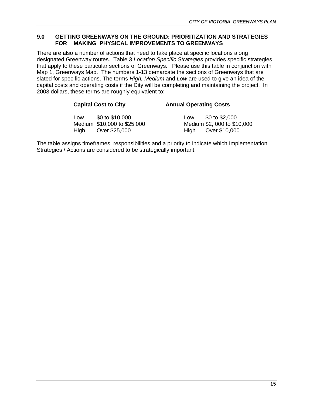#### <span id="page-20-0"></span>**9.0 GETTING GREENWAYS ON THE GROUND: PRIORITIZATION AND STRATEGIES FOR MAKING PHYSICAL IMPROVEMENTS TO GREENWAYS**

There are also a number of actions that need to take place at specific locations along designated Greenway routes. Table 3 *Location Specific Strategies* provides specific strategies that apply to these particular sections of Greenways. Please use this table in conjunction with Map 1, Greenways Map. The numbers 1-13 demarcate the sections of Greenways that are slated for specific actions. The terms *High, Medium* and *Low* are used to give an idea of the capital costs and operating costs if the City will be completing and maintaining the project. In 2003 dollars, these terms are roughly equivalent to:

#### **Capital Cost to City Annual Operating Costs**

| Low  | \$0 to \$10,000             | Low  | \$0 to \$2,000              |
|------|-----------------------------|------|-----------------------------|
|      | Medium \$10,000 to \$25,000 |      | Medium \$2, 000 to \$10,000 |
| High | Over \$25,000               | Hiah | Over \$10,000               |

The table assigns timeframes, responsibilities and a priority to indicate which Implementation Strategies / Actions are considered to be strategically important.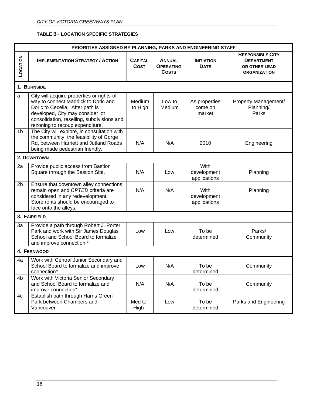#### **TABLE 3– LOCATION SPECIFIC STRATEGIES**

<span id="page-21-0"></span>

| PRIORITIES ASSIGNED BY PLANNING, PARKS AND ENGINEERING STAFF |                                                                                                                                                                                                                                           |                               |                                                   |                                     |                                                                                      |  |
|--------------------------------------------------------------|-------------------------------------------------------------------------------------------------------------------------------------------------------------------------------------------------------------------------------------------|-------------------------------|---------------------------------------------------|-------------------------------------|--------------------------------------------------------------------------------------|--|
| LOCATION                                                     | <b>IMPLEMENTATION STRATEGY / ACTION</b>                                                                                                                                                                                                   | <b>CAPITAL</b><br><b>COST</b> | <b>ANNUAL</b><br><b>OPERATING</b><br><b>COSTS</b> | <b>INITIATION</b><br><b>DATE</b>    | <b>RESPONSIBLE CITY</b><br><b>DEPARTMENT</b><br>OR OTHER LEAD<br><b>ORGANIZATION</b> |  |
|                                                              | 1. BURNSIDE                                                                                                                                                                                                                               |                               |                                                   |                                     |                                                                                      |  |
| $\mathsf{a}$                                                 | City will acquire properties or rights-of-<br>way to connect Maddick to Doric and<br>Doric to Cecelia. After path is<br>developed, City may consider lot<br>consolidation, reselling, subdivisions and<br>rezoning to recoup expenditure. | Medium<br>to High             | Low to<br>Medium                                  | As properties<br>come on<br>market  | Property Management/<br>Planning/<br>Parks                                           |  |
| 1b                                                           | The City will explore, in consultation with<br>the community, the feasibility of Gorge<br>Rd, between Harriett and Jutland Roads<br>being made pedestrian friendly.                                                                       | N/A                           | N/A                                               | 2010                                | Engineering                                                                          |  |
|                                                              | 2. DOWNTOWN                                                                                                                                                                                                                               |                               |                                                   |                                     |                                                                                      |  |
| 2a                                                           | Provide public access from Bastion<br>Square through the Bastion Site.                                                                                                                                                                    | N/A                           | Low                                               | With<br>development<br>applications | Planning                                                                             |  |
| 2 <sub>b</sub>                                               | Ensure that downtown alley connections<br>remain open and CPTED criteria are<br>considered in any redevelopment.<br>Storefronts should be encouraged to<br>face onto the alleys.                                                          | N/A                           | N/A                                               | With<br>development<br>applications | Planning                                                                             |  |
|                                                              | 3. FAIRFIELD                                                                                                                                                                                                                              |                               |                                                   |                                     |                                                                                      |  |
| 3a                                                           | Provide a path through Robert J. Porter<br>Park and work with Sir James Douglas<br>School and School Board to formalize<br>and improve connection *                                                                                       | Low                           | Low                                               | To be<br>determined                 | Parks/<br>Community                                                                  |  |
|                                                              | 4. FERNWOOD                                                                                                                                                                                                                               |                               |                                                   |                                     |                                                                                      |  |
| 4a                                                           | Work with Central Junior Secondary and<br>School Board to formalize and improve<br>connection*                                                                                                                                            | Low                           | N/A                                               | To be<br>determined                 | Community                                                                            |  |
| 4b                                                           | Work with Victoria Senior Secondary<br>and School Board to formalize and<br>improve connection*                                                                                                                                           | N/A                           | N/A                                               | To be<br>determined                 | Community                                                                            |  |
| 4c                                                           | Establish path through Harris Green<br>Park between Chambers and<br>Vancouver                                                                                                                                                             | Med to<br>High                | Low                                               | To be<br>determined                 | Parks and Engineering                                                                |  |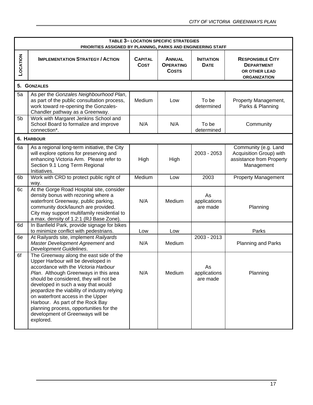|                | <b>TABLE 3-LOCATION SPECIFIC STRATEGIES</b><br>PRIORITIES ASSIGNED BY PLANNING, PARKS AND ENGINEERING STAFF                                                                                                                                                                                                                                                                                                                                                                |                               |                                                   |                                  |                                                                                           |  |
|----------------|----------------------------------------------------------------------------------------------------------------------------------------------------------------------------------------------------------------------------------------------------------------------------------------------------------------------------------------------------------------------------------------------------------------------------------------------------------------------------|-------------------------------|---------------------------------------------------|----------------------------------|-------------------------------------------------------------------------------------------|--|
| LOCATION       | <b>IMPLEMENTATION STRATEGY / ACTION</b>                                                                                                                                                                                                                                                                                                                                                                                                                                    | <b>CAPITAL</b><br><b>COST</b> | <b>ANNUAL</b><br><b>OPERATING</b><br><b>COSTS</b> | <b>INITIATION</b><br><b>DATE</b> | <b>RESPONSIBLE CITY</b><br><b>DEPARTMENT</b><br>OR OTHER LEAD<br><b>ORGANIZATION</b>      |  |
|                | 5. GONZALES                                                                                                                                                                                                                                                                                                                                                                                                                                                                |                               |                                                   |                                  |                                                                                           |  |
| 5a             | As per the Gonzales Neighbourhood Plan,<br>as part of the public consultation process,<br>work toward re-opening the Gonzales-<br>Chandler pathway as a Greenway.                                                                                                                                                                                                                                                                                                          | Medium                        | Low                                               | To be<br>determined              | Property Management,<br>Parks & Planning                                                  |  |
| 5 <sub>b</sub> | Work with Margaret Jenkins School and<br>School Board to formalize and improve<br>connection*.                                                                                                                                                                                                                                                                                                                                                                             | N/A                           | N/A                                               | To be<br>determined              | Community                                                                                 |  |
|                | <b>6. HARBOUR</b>                                                                                                                                                                                                                                                                                                                                                                                                                                                          |                               |                                                   |                                  |                                                                                           |  |
| 6a             | As a regional long-term initiative, the City<br>will explore options for preserving and<br>enhancing Victoria Arm. Please refer to<br>Section 9.1 Long Term Regional<br>Initiatives.                                                                                                                                                                                                                                                                                       | High                          | High                                              | 2003 - 2053                      | Community (e.g. Land<br>Acquisition Group) with<br>assistance from Property<br>Management |  |
| 6b             | Work with CRD to protect public right of<br>way.                                                                                                                                                                                                                                                                                                                                                                                                                           | Medium                        | Low                                               | 2003                             | <b>Property Management</b>                                                                |  |
| 6c             | At the Gorge Road Hospital site, consider<br>density bonus with rezoning where a<br>waterfront Greenway, public parking,<br>community dock/launch are provided.<br>City may support multifamily residential to<br>a max. density of 1.2:1 (RJ Base Zone).                                                                                                                                                                                                                  | N/A                           | Medium                                            | As<br>applications<br>are made   | Planning                                                                                  |  |
| 6d             | In Banfield Park, provide signage for bikes<br>to minimize conflict with pedestrians.                                                                                                                                                                                                                                                                                                                                                                                      | Low                           | Low                                               |                                  | Parks                                                                                     |  |
| 6e             | At Railyards site, implement Railyards<br>Master Development Agreement and<br>Development Guidelines.                                                                                                                                                                                                                                                                                                                                                                      | N/A                           | Medium                                            | 2003 - 2013                      | <b>Planning and Parks</b>                                                                 |  |
| 6f             | The Greenway along the east side of the<br>Upper Harbour will be developed in<br>accordance with the <i>Victoria Harbour</i><br>Plan. Although Greenways in this area<br>should be considered, they will not be<br>developed in such a way that would<br>jeopardize the viability of industry relying<br>on waterfront access in the Upper<br>Harbour. As part of the Rock Bay<br>planning process, opportunities for the<br>development of Greenways will be<br>explored. | N/A                           | Medium                                            | As<br>applications<br>are made   | Planning                                                                                  |  |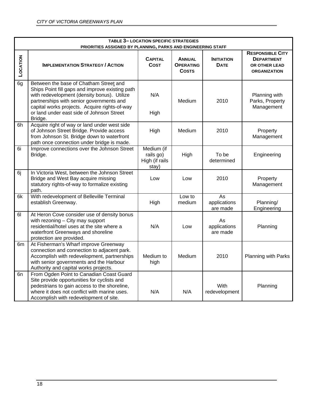|          | <b>TABLE 3- LOCATION SPECIFIC STRATEGIES</b><br>PRIORITIES ASSIGNED BY PLANNING, PARKS AND ENGINEERING STAFF                                                                                                                                                                                  |                                                    |                                                   |                                  |                                                                                      |  |  |
|----------|-----------------------------------------------------------------------------------------------------------------------------------------------------------------------------------------------------------------------------------------------------------------------------------------------|----------------------------------------------------|---------------------------------------------------|----------------------------------|--------------------------------------------------------------------------------------|--|--|
| LOCATION | <b>IMPLEMENTATION STRATEGY / ACTION</b>                                                                                                                                                                                                                                                       | <b>CAPITAL</b><br><b>COST</b>                      | <b>ANNUAL</b><br><b>OPERATING</b><br><b>COSTS</b> | <b>INITIATION</b><br><b>DATE</b> | <b>RESPONSIBLE CITY</b><br><b>DEPARTMENT</b><br>OR OTHER LEAD<br><b>ORGANIZATION</b> |  |  |
| 6g       | Between the base of Chatham Street and<br>Ships Point fill gaps and improve existing path<br>with redevelopment (density bonus). Utilize<br>partnerships with senior governments and<br>capital works projects. Acquire rights-of-way<br>or land under east side of Johnson Street<br>Bridge. | N/A<br>High                                        | Medium                                            | 2010                             | Planning with<br>Parks, Property<br>Management                                       |  |  |
| 6h       | Acquire right of way or land under west side<br>of Johnson Street Bridge. Provide access<br>from Johnson St. Bridge down to waterfront<br>path once connection under bridge is made.                                                                                                          | High                                               | Medium                                            | 2010                             | Property<br>Management                                                               |  |  |
| 6i       | Improve connections over the Johnson Street<br>Bridge.                                                                                                                                                                                                                                        | Medium (if<br>rails go)<br>High (if rails<br>stay) | High                                              | To be<br>determined              | Engineering                                                                          |  |  |
| 6j       | In Victoria West, between the Johnson Street<br>Bridge and West Bay acquire missing<br>statutory rights-of-way to formalize existing<br>path.                                                                                                                                                 | Low                                                | Low                                               | 2010                             | Property<br>Management                                                               |  |  |
| 6k       | With redevelopment of Belleville Terminal<br>establish Greenway.                                                                                                                                                                                                                              | High                                               | Low to<br>medium                                  | As<br>applications<br>are made   | Planning/<br>Engineering                                                             |  |  |
| 61       | At Heron Cove consider use of density bonus<br>with rezoning - City may support<br>residential/hotel uses at the site where a<br>waterfront Greenways and shoreline<br>protection are provided.                                                                                               | N/A                                                | Low                                               | As<br>applications<br>are made   | Planning                                                                             |  |  |
| 6m       | At Fisherman's Wharf improve Greenway<br>connection and connection to adjacent park.<br>Accomplish with redevelopment, partnerships<br>with senior governments and the Harbour<br>Authority and capital works projects.                                                                       | Medium to<br>high                                  | Medium                                            | 2010                             | Planning with Parks                                                                  |  |  |
| 6n       | From Ogden Point to Canadian Coast Guard<br>Site provide opportunities for cyclists and<br>pedestrians to gain access to the shoreline,<br>where it does not conflict with marine uses.<br>Accomplish with redevelopment of site.                                                             | N/A                                                | N/A                                               | With<br>redevelopment            | Planning                                                                             |  |  |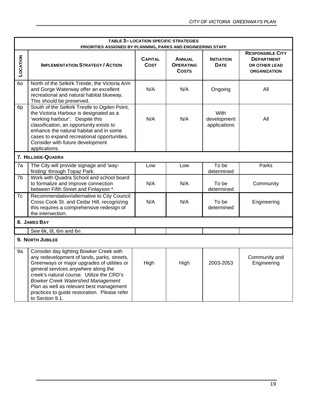|                | <b>TABLE 3- LOCATION SPECIFIC STRATEGIES</b><br>PRIORITIES ASSIGNED BY PLANNING, PARKS AND ENGINEERING STAFF                                                                                                                                                                                                                                                                         |                               |                                                   |                                     |                                                                                      |  |  |
|----------------|--------------------------------------------------------------------------------------------------------------------------------------------------------------------------------------------------------------------------------------------------------------------------------------------------------------------------------------------------------------------------------------|-------------------------------|---------------------------------------------------|-------------------------------------|--------------------------------------------------------------------------------------|--|--|
| LOCATION       | <b>IMPLEMENTATION STRATEGY / ACTION</b>                                                                                                                                                                                                                                                                                                                                              | <b>CAPITAL</b><br><b>COST</b> | <b>ANNUAL</b><br><b>OPERATING</b><br><b>COSTS</b> | <b>INITIATION</b><br><b>DATE</b>    | <b>RESPONSIBLE CITY</b><br><b>DEPARTMENT</b><br>OR OTHER LEAD<br><b>ORGANIZATION</b> |  |  |
| 60             | North of the Selkirk Trestle, the Victoria Arm<br>and Gorge Waterway offer an excellent<br>recreational and natural habitat blueway.<br>This should be preserved.                                                                                                                                                                                                                    | N/A                           | N/A                                               | Ongoing                             | All                                                                                  |  |  |
| 6p             | South of the Selkirk Trestle to Ogden Point,<br>the Victoria Harbour is designated as a<br>'working harbour'. Despite this<br>classification, an opportunity exists to<br>enhance the natural habitat and in some<br>cases to expand recreational opportunities.<br>Consider with future development<br>applications.                                                                | N/A                           | N/A                                               | With<br>development<br>applications | All                                                                                  |  |  |
|                | 7. HILLSIDE-QUADRA                                                                                                                                                                                                                                                                                                                                                                   |                               |                                                   |                                     |                                                                                      |  |  |
| 7a             | The City will provide signage and 'way-<br>finding' through Topaz Park.                                                                                                                                                                                                                                                                                                              | Low                           | Low                                               | To be<br>determined                 | Parks                                                                                |  |  |
| 7 <sub>b</sub> | Work with Quadra School and school board<br>to formalize and improve connection<br>between Fifth Street and Finlayson *.                                                                                                                                                                                                                                                             | N/A                           | N/A                                               | To be<br>determined                 | Community                                                                            |  |  |
| 7c             | Recommendation/alternative to City Council:<br>Cross Cook St. and Cedar Hill, recognizing<br>this requires a comprehensive redesign of<br>the intersection.                                                                                                                                                                                                                          | N/A                           | N/A                                               | To be<br>determined                 | Engineering                                                                          |  |  |
|                | 8. JAMES BAY                                                                                                                                                                                                                                                                                                                                                                         |                               |                                                   |                                     |                                                                                      |  |  |
|                | See 6k, 6l, 6m and 6n                                                                                                                                                                                                                                                                                                                                                                |                               |                                                   |                                     |                                                                                      |  |  |
|                | 9. NORTH JUBILEE                                                                                                                                                                                                                                                                                                                                                                     |                               |                                                   |                                     |                                                                                      |  |  |
| 9a             | Consider day lighting Bowker Creek with<br>any redevelopment of lands, parks, streets,<br>Greenways or major upgrades of utilities or<br>general services anywhere along the<br>creek's natural course. Utilize the CRD's<br><b>Bowker Creek Watershed Management</b><br>Plan as well as relevant best management<br>practices to guide restoration. Please refer<br>to Section 9.1. | High                          | High                                              | 2003-2053                           | Community and<br>Engineering                                                         |  |  |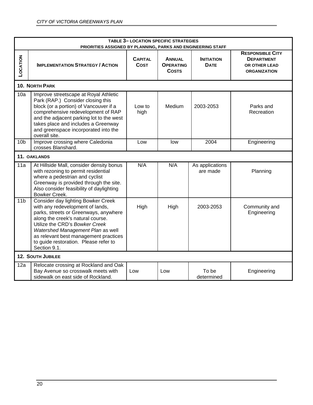|                 | <b>TABLE 3- LOCATION SPECIFIC STRATEGIES</b><br>PRIORITIES ASSIGNED BY PLANNING, PARKS AND ENGINEERING STAFF                                                                                                                                                                                                                  |                               |                                                   |                                  |                                                                                      |  |
|-----------------|-------------------------------------------------------------------------------------------------------------------------------------------------------------------------------------------------------------------------------------------------------------------------------------------------------------------------------|-------------------------------|---------------------------------------------------|----------------------------------|--------------------------------------------------------------------------------------|--|
| LOCATION        | <b>IMPLEMENTATION STRATEGY / ACTION</b>                                                                                                                                                                                                                                                                                       | <b>CAPITAL</b><br><b>COST</b> | <b>ANNUAL</b><br><b>OPERATING</b><br><b>COSTS</b> | <b>INITIATION</b><br><b>DATE</b> | <b>RESPONSIBLE CITY</b><br><b>DEPARTMENT</b><br>OR OTHER LEAD<br><b>ORGANIZATION</b> |  |
|                 | <b>10. NORTH PARK</b>                                                                                                                                                                                                                                                                                                         |                               |                                                   |                                  |                                                                                      |  |
| 10a             | Improve streetscape at Royal Athletic<br>Park (RAP.) Consider closing this<br>block (or a portion) of Vancouver if a<br>comprehensive redevelopment of RAP<br>and the adjacent parking lot to the west<br>takes place and includes a Greenway<br>and greenspace incorporated into the<br>overall site.                        | Low to<br>high                | Medium                                            | 2003-2053                        | Parks and<br>Recreation                                                              |  |
| 10 <sub>b</sub> | Improve crossing where Caledonia<br>crosses Blanshard.                                                                                                                                                                                                                                                                        | Low                           | low                                               | 2004                             | Engineering                                                                          |  |
|                 | 11. OAKLANDS                                                                                                                                                                                                                                                                                                                  |                               |                                                   |                                  |                                                                                      |  |
| 11a             | At Hillside Mall, consider density bonus<br>with rezoning to permit residential<br>where a pedestrian and cyclist<br>Greenway is provided through the site.<br>Also consider feasibility of daylighting<br>Bowker Creek.                                                                                                      | N/A                           | N/A                                               | As applications<br>are made      | Planning                                                                             |  |
| 11 <sub>b</sub> | Consider day lighting Bowker Creek<br>with any redevelopment of lands,<br>parks, streets or Greenways, anywhere<br>along the creek's natural course.<br>Utilize the CRD's Bowker Creek<br>Watershed Management Plan as well<br>as relevant best management practices<br>to guide restoration. Please refer to<br>Section 9.1. | High                          | High                                              | 2003-2053                        | Community and<br>Engineering                                                         |  |
|                 | <b>12. SOUTH JUBILEE</b>                                                                                                                                                                                                                                                                                                      |                               |                                                   |                                  |                                                                                      |  |
| 12a             | Relocate crossing at Rockland and Oak<br>Bay Avenue so crosswalk meets with<br>sidewalk on east side of Rockland.                                                                                                                                                                                                             | Low                           | Low                                               | To be<br>determined              | Engineering                                                                          |  |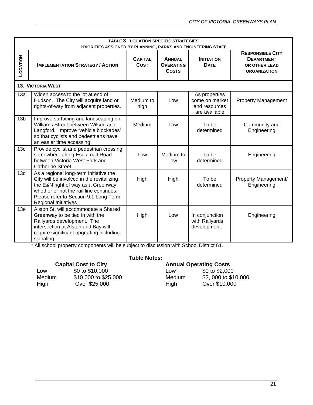|                 | <b>TABLE 3-LOCATION SPECIFIC STRATEGIES</b><br>PRIORITIES ASSIGNED BY PLANNING, PARKS AND ENGINEERING STAFF                                                                                                                            |                               |                                                   |                                                                   |                                                                                      |  |  |
|-----------------|----------------------------------------------------------------------------------------------------------------------------------------------------------------------------------------------------------------------------------------|-------------------------------|---------------------------------------------------|-------------------------------------------------------------------|--------------------------------------------------------------------------------------|--|--|
| LOCATION        | <b>IMPLEMENTATION STRATEGY / ACTION</b>                                                                                                                                                                                                | <b>CAPITAL</b><br><b>COST</b> | <b>ANNUAL</b><br><b>OPERATING</b><br><b>COSTS</b> | <b>INITIATION</b><br><b>DATE</b>                                  | <b>RESPONSIBLE CITY</b><br><b>DEPARTMENT</b><br>OR OTHER LEAD<br><b>ORGANIZATION</b> |  |  |
|                 | <b>13. VICTORIA WEST</b>                                                                                                                                                                                                               |                               |                                                   |                                                                   |                                                                                      |  |  |
| 13a             | Widen access to the lot at end of<br>Hudson. The City will acquire land or<br>rights-of-way from adjacent properties.                                                                                                                  | Medium to<br>high             | Low                                               | As properties<br>come on market<br>and resources<br>are available | <b>Property Management</b>                                                           |  |  |
| 13 <sub>b</sub> | Improve surfacing and landscaping on<br>Williams Street between Wilson and<br>Langford. Improve 'vehicle blockades'<br>so that cyclists and pedestrians have<br>an easier time accessing.                                              | Medium                        | Low                                               | To be<br>determined                                               | Community and<br>Engineering                                                         |  |  |
| 13c             | Provide cyclist and pedestrian crossing<br>somewhere along Esquimalt Road<br>between Victoria West Park and<br>Catherine Street.                                                                                                       | Low                           | Medium to<br>low                                  | To be<br>determined                                               | Engineering                                                                          |  |  |
| 13d             | As a regional long-term initiative the<br>City will be involved in the revitalizing<br>the E&N right of way as a Greenway<br>whether or not the rail line continues.<br>Please refer to Section 9.1 Long Term<br>Regional Initiatives. | High                          | High                                              | To be<br>determined                                               | Property Management/<br>Engineering                                                  |  |  |
| 13e             | Alston St. will accommodate a Shared<br>Greenway to be tied in with the<br>Railyards development. The<br>intersection at Alston and Bay will<br>require significant upgrading including<br>signaling.                                  | High                          | Low                                               | In conjunction<br>with Railyards<br>development.                  | Engineering                                                                          |  |  |

\* All school property components will be subject to discussion with School District 61.

#### **Capital Cost to City**

| Low    | \$0 to \$10,000      | Low    | \$0 to \$2,000   |
|--------|----------------------|--------|------------------|
| Medium | \$10,000 to \$25,000 | Medium | \$2, 000 to \$10 |
| High   | Over \$25,000        | High   | Over \$10,000    |

#### **Table Notes:**

| <b>Capital Cost to City</b> |                      | <b>Annual Operating Costs</b> |                     |
|-----------------------------|----------------------|-------------------------------|---------------------|
| Low                         | \$0 to \$10,000      | Low                           | \$0 to \$2,000      |
| Medium                      | \$10,000 to \$25,000 | Medium                        | \$2,000 to \$10,000 |
| High                        | Over \$25,000        | Hiah                          | Over \$10,000       |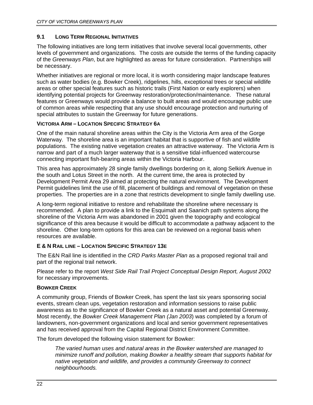#### <span id="page-27-0"></span>**9.1 LONG TERM REGIONAL INITIATIVES**

The following initiatives are long term initiatives that involve several local governments, other levels of government and organizations. The costs are outside the terms of the funding capacity of the *Greenways Plan*, but are highlighted as areas for future consideration. Partnerships will be necessary.

Whether initiatives are regional or more local, it is worth considering major landscape features such as water bodies (e.g. Bowker Creek), ridgelines, hills, exceptional trees or special wildlife areas or other special features such as historic trails (First Nation or early explorers) when identifying potential projects for Greenway restoration/protection/maintenance. These natural features or Greenways would provide a balance to built areas and would encourage public use of common areas while respecting that any use should encourage protection and nurturing of special attributes to sustain the Greenway for future generations.

# **VICTORIA ARM – LOCATION SPECIFIC STRATEGY 6A**

One of the main natural shoreline areas within the City is the Victoria Arm area of the Gorge Waterway. The shoreline area is an important habitat that is supportive of fish and wildlife populations. The existing native vegetation creates an attractive waterway. The Victoria Arm is narrow and part of a much larger waterway that is a sensitive tidal-influenced watercourse connecting important fish-bearing areas within the Victoria Harbour.

This area has approximately 28 single family dwellings bordering on it, along Selkirk Avenue in the south and Lotus Street in the north. At the current time, the area is protected by Development Permit Area 29 aimed at protecting the natural environment. The Development Permit guidelines limit the use of fill, placement of buildings and removal of vegetation on these properties. The properties are in a zone that restricts development to single family dwelling use.

A long-term regional initiative to restore and rehabilitate the shoreline where necessary is recommended. A plan to provide a link to the Esquimalt and Saanich path systems along the shoreline of the Victoria Arm was abandoned in 2001 given the topography and ecological significance of this area because it would be difficult to accommodate a pathway adjacent to the shoreline. Other long-term options for this area can be reviewed on a regional basis when resources are available.

#### **E & N RAIL LINE – LOCATION SPECIFIC STRATEGY 13E**

The E&N Rail line is identified in the *CRD Parks Master Plan* as a proposed regional trail and part of the regional trail network.

Please refer to the report *West Side Rail Trail Project Conceptual Design Report, August 2002* for necessary improvements.

#### **BOWKER CREEK**

A community group, Friends of Bowker Creek, has spent the last six years sponsoring social events, stream clean ups, vegetation restoration and information sessions to raise public awareness as to the significance of Bowker Creek as a natural asset and potential Greenway. Most recently, the *Bowker Creek Management Plan (Jan 2003*) was completed by a forum of landowners, non-government organizations and local and senior government representatives and has received approval from the Capital Regional District Environment Committee.

The forum developed the following vision statement for Bowker:

*The varied human uses and natural areas in the Bowker watershed are managed to minimize runoff and pollution, making Bowker a healthy stream that supports habitat for native vegetation and wildlife, and provides a community Greenway to connect neighbourhoods.*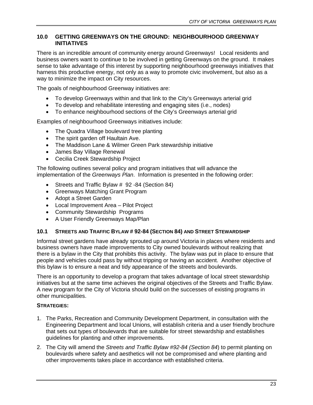#### <span id="page-28-0"></span>**10.0 GETTING GREENWAYS ON THE GROUND: NEIGHBOURHOOD GREENWAY INITIATIVES**

There is an incredible amount of community energy around Greenways! Local residents and business owners want to continue to be involved in getting Greenways on the ground. It makes sense to take advantage of this interest by supporting neighbourhood greenways initiatives that harness this productive energy, not only as a way to promote civic involvement, but also as a way to minimize the impact on City resources.

The goals of neighbourhood Greenway initiatives are:

- To develop Greenways within and that link to the City's Greenways arterial grid
- To develop and rehabilitate interesting and engaging sites (i.e., nodes)
- To enhance neighbourhood sections of the City's Greenways arterial grid

Examples of neighbourhood Greenways initiatives include:

- The Quadra Village boulevard tree planting
- The spirit garden off Haultain Ave.
- The Maddison Lane & Wilmer Green Park stewardship initiative
- James Bay Village Renewal
- Cecilia Creek Stewardship Project

The following outlines several policy and program initiatives that will advance the implementation of the *Greenways Plan*. Information is presented in the following order:

- Streets and Traffic Bylaw # 92 -84 (Section 84)
- Greenways Matching Grant Program
- Adopt a Street Garden
- Local Improvement Area Pilot Project
- Community Stewardship Programs
- A User Friendly Greenways Map/Plan

#### **10.1 STREETS AND TRAFFIC BYLAW # 92-84 (SECTION 84) AND STREET STEWARDSHIP**

Informal street gardens have already sprouted up around Victoria in places where residents and business owners have made improvements to City owned boulevards without realizing that there is a bylaw in the City that prohibits this activity. The bylaw was put in place to ensure that people and vehicles could pass by without tripping or having an accident. Another objective of this bylaw is to ensure a neat and tidy appearance of the streets and boulevards.

There is an opportunity to develop a program that takes advantage of local street stewardship initiatives but at the same time achieves the original objectives of the Streets and Traffic Bylaw. A new program for the City of Victoria should build on the successes of existing programs in other municipalities.

#### **STRATEGIES:**

- 1. The Parks, Recreation and Community Development Department, in consultation with the Engineering Department and local Unions, will establish criteria and a user friendly brochure that sets out types of boulevards that are suitable for street stewardship and establishes guidelines for planting and other improvements.
- 2. The City will amend the *Streets and Traffic Bylaw #92-84 (Section 84*) to permit planting on boulevards where safety and aesthetics will not be compromised and where planting and other improvements takes place in accordance with established criteria.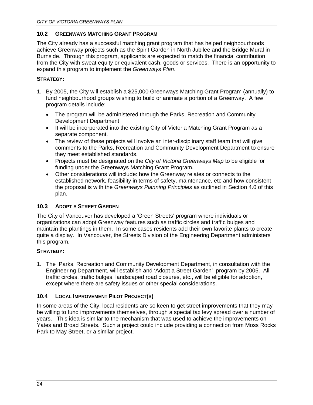#### <span id="page-29-0"></span>**10.2 GREENWAYS MATCHING GRANT PROGRAM**

The City already has a successful matching grant program that has helped neighbourhoods achieve Greenway projects such as the Spirit Garden in North Jubilee and the Bridge Mural in Burnside. Through this program, applicants are expected to match the financial contribution from the City with sweat equity or equivalent cash, goods or services. There is an opportunity to expand this program to implement the *Greenways Plan*.

### **STRATEGY:**

- 1. By 2005, the City will establish a \$25,000 Greenways Matching Grant Program (annually) to fund neighbourhood groups wishing to build or animate a portion of a Greenway. A few program details include:
	- The program will be administered through the Parks, Recreation and Community Development Department
	- It will be incorporated into the existing City of Victoria Matching Grant Program as a separate component.
	- The review of these projects will involve an inter-disciplinary staff team that will give comments to the Parks, Recreation and Community Development Department to ensure they meet established standards.
	- Projects must be designated on the *City of Victoria Greenways Map* to be eligible for funding under the Greenways Matching Grant Program.
	- Other considerations will include: how the Greenway relates or connects to the established network, feasibility in terms of safety, maintenance, etc and how consistent the proposal is with the *Greenways Planning Principles* as outlined in Section 4.0 of this plan.

# **10.3 ADOPT A STREET GARDEN**

The City of Vancouver has developed a 'Green Streets' program where individuals or organizations can adopt Greenway features such as traffic circles and traffic bulges and maintain the plantings in them. In some cases residents add their own favorite plants to create quite a display. In Vancouver, the Streets Division of the Engineering Department administers this program.

#### **STRATEGY:**

1. The Parks, Recreation and Community Development Department, in consultation with the Engineering Department, will establish and 'Adopt a Street Garden' program by 2005. All traffic circles, traffic bulges, landscaped road closures, etc., will be eligible for adoption, except where there are safety issues or other special considerations.

#### **10.4 LOCAL IMPROVEMENT PILOT PROJECT(S)**

In some areas of the City, local residents are so keen to get street improvements that they may be willing to fund improvements themselves, through a special tax levy spread over a number of years. This idea is similar to the mechanism that was used to achieve the improvements on Yates and Broad Streets. Such a project could include providing a connection from Moss Rocks Park to May Street, or a similar project.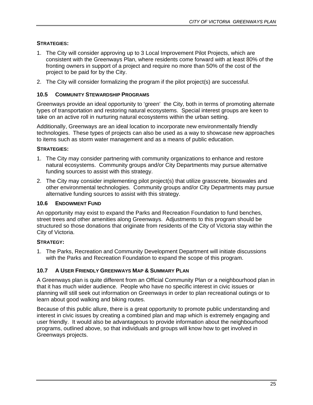# <span id="page-30-0"></span>**STRATEGIES:**

- 1. The City will consider approving up to 3 Local Improvement Pilot Projects, which are consistent with the Greenways Plan, where residents come forward with at least 80% of the fronting owners in support of a project and require no more than 50% of the cost of the project to be paid for by the City.
- 2. The City will consider formalizing the program if the pilot project(s) are successful.

### **10.5 COMMUNITY STEWARDSHIP PROGRAMS**

Greenways provide an ideal opportunity to 'green' the City, both in terms of promoting alternate types of transportation and restoring natural ecosystems. Special interest groups are keen to take on an active roll in nurturing natural ecosystems within the urban setting.

Additionally, Greenways are an ideal location to incorporate new environmentally friendly technologies. These types of projects can also be used as a way to showcase new approaches to items such as storm water management and as a means of public education.

# **STRATEGIES:**

- 1. The City may consider partnering with community organizations to enhance and restore natural ecosystems. Community groups and/or City Departments may pursue alternative funding sources to assist with this strategy.
- 2. The City may consider implementing pilot project(s) that utilize grasscrete, bioswales and other environmental technologies. Community groups and/or City Departments may pursue alternative funding sources to assist with this strategy.

### **10.6 ENDOWMENT FUND**

An opportunity may exist to expand the Parks and Recreation Foundation to fund benches, street trees and other amenities along Greenways. Adjustments to this program should be structured so those donations that originate from residents of the City of Victoria stay within the City of Victoria.

# **STRATEGY:**

1. The Parks, Recreation and Community Development Department will initiate discussions with the Parks and Recreation Foundation to expand the scope of this program.

#### **10.7 A USER FRIENDLY GREENWAYS MAP & SUMMARY PLAN**

A Greenways plan is quite different from an Official Community Plan or a neighbourhood plan in that it has much wider audience. People who have no specific interest in civic issues or planning will still seek out information on Greenways in order to plan recreational outings or to learn about good walking and biking routes.

Because of this public allure, there is a great opportunity to promote public understanding and interest in civic issues by creating a combined plan and map which is extremely engaging and user friendly. It would also be advantageous to provide information about the neighbourhood programs, outlined above, so that individuals and groups will know how to get involved in Greenways projects.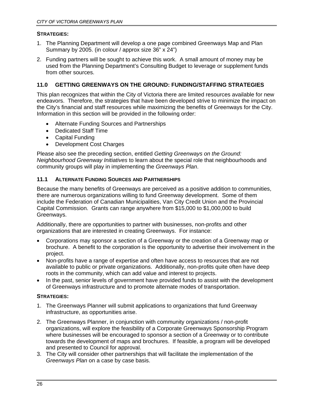#### <span id="page-31-0"></span>**STRATEGIES:**

- 1. The Planning Department will develop a one page combined Greenways Map and Plan Summary by 2005. (in colour / approx size 36" x 24")
- 2. Funding partners will be sought to achieve this work. A small amount of money may be used from the Planning Department's Consulting Budget to leverage or supplement funds from other sources.

# **11.0 GETTING GREENWAYS ON THE GROUND: FUNDING/STAFFING STRATEGIES**

This plan recognizes that within the City of Victoria there are limited resources available for new endeavors. Therefore, the strategies that have been developed strive to minimize the impact on the City's financial and staff resources while maximizing the benefits of Greenways for the City. Information in this section will be provided in the following order:

- Alternate Funding Sources and Partnerships
- Dedicated Staff Time
- Capital Funding
- Development Cost Charges

Please also see the preceding section, entitled *Getting Greenways on the Ground: Neighbourhood Greenway Initiatives* to learn about the special role that neighbourhoods and community groups will play in implementing the *Greenways Plan*.

#### **11.1 ALTERNATE FUNDING SOURCES AND PARTNERSHIPS**

Because the many benefits of Greenways are perceived as a positive addition to communities, there are numerous organizations willing to fund Greenway development. Some of them include the Federation of Canadian Municipalities, Van City Credit Union and the Provincial Capital Commission. Grants can range anywhere from \$15,000 to \$1,000,000 to build Greenways.

Additionally, there are opportunities to partner with businesses, non-profits and other organizations that are interested in creating Greenways. For instance:

- Corporations may sponsor a section of a Greenway or the creation of a Greenway map or brochure. A benefit to the corporation is the opportunity to advertise their involvement in the project.
- Non-profits have a range of expertise and often have access to resources that are not available to public or private organizations. Additionally, non-profits quite often have deep roots in the community, which can add value and interest to projects.
- In the past, senior levels of government have provided funds to assist with the development of Greenways infrastructure and to promote alternate modes of transportation.

#### **STRATEGIES:**

- 1. The Greenways Planner will submit applications to organizations that fund Greenway infrastructure, as opportunities arise.
- 2. The Greenways Planner, in conjunction with community organizations / non-profit organizations, will explore the feasibility of a Corporate Greenways Sponsorship Program where businesses will be encouraged to sponsor a section of a Greenway or to contribute towards the development of maps and brochures. If feasible, a program will be developed and presented to Council for approval.
- 3. The City will consider other partnerships that will facilitate the implementation of the *Greenways Plan* on a case by case basis.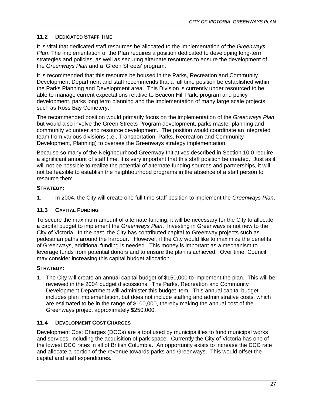# <span id="page-32-0"></span>**11.2 DEDICATED STAFF TIME**

It is vital that dedicated staff resources be allocated to the implementation of the *Greenways Plan*. The implementation of the Plan requires a position dedicated to developing long-term strategies and policies, as well as securing alternate resources to ensure the development of the *Greenways Plan* and a 'Green Streets' program.

It is recommended that this resource be housed in the Parks, Recreation and Community Development Department and staff recommends that a full time position be established within the Parks Planning and Development area. This Division is currently under resourced to be able to manage current expectations relative to Beacon Hill Park, program and policy development, parks long term planning and the implementation of many large scale projects such as Ross Bay Cemetery.

The recommended position would primarily focus on the implementation of the *Greenways Plan*, but would also involve the Green Streets Program development, parks master planning and community volunteer and resource development. The position would coordinate an integrated team from various divisions (i.e., Transportation, Parks, Recreation and Community Development, Planning) to oversee the Greenways strategy implementation.

Because so many of the Neighbourhood Greenway Initiatives described in Section 10.0 require a significant amount of staff time, it is very important that this staff position be created. Just as it will not be possible to realize the potential of alternate funding sources and partnerships, it will not be feasible to establish the neighbourhood programs in the absence of a staff person to resource them.

# **STRATEGY:**

1. In 2004, the City will create one full time staff position to implement the *Greenways Plan*.

# **11.3 CAPITAL FUNDING**

To secure the maximum amount of alternate funding, it will be necessary for the City to allocate a capital budget to implement the *Greenways Plan*. Investing in Greenways is not new to the City of Victoria. In the past, the City has contributed capital to Greenway projects such as pedestrian paths around the harbour. However, if the City would like to maximize the benefits of Greenways, additional funding is needed. This money is important as a mechanism to leverage funds from potential donors and to ensure the plan is achieved. Over time, Council may consider increasing this capital budget allocation.

# **STRATEGY:**

1. The City will create an annual capital budget of \$150,000 to implement the plan. This will be reviewed in the 2004 budget discussions. The Parks, Recreation and Community Development Department will administer this budget item. This annual capital budget includes plan implementation, but does not include staffing and administrative costs, which are estimated to be in the range of \$100,000, thereby making the annual cost of the Greenways project approximately \$250,000.

# **11.4 DEVELOPMENT COST CHARGES**

Development Cost Charges (DCCs) are a tool used by municipalities to fund municipal works and services, including the acquisition of park space. Currently the City of Victoria has one of the lowest DCC rates in all of British Columbia. An opportunity exists to increase the DCC rate and allocate a portion of the revenue towards parks and Greenways. This would offset the capital and staff expenditures.